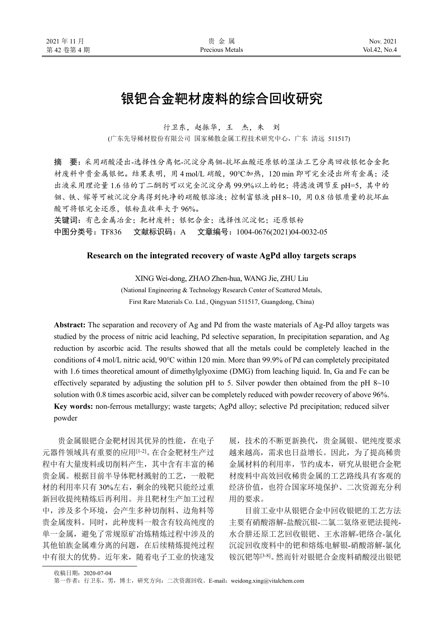# 银钯合金靶材废料的综合回收研究

行卫东,赵振华,王 杰,朱 刘

(广东先导稀材股份有限公司 国家稀散金属工程技术研究中心,广东 清远 511517)

摘 要:采用硝酸浸出-选择性分离钯-沉淀分离铟-抗坏血酸还原银的湿法工艺分离回收银钯合金靶 材废料中贵金属银钯。结果表明,用 4 mol/L 硝酸,90℃加热,120 min 即可完全浸出所有金属;浸 出液采用理论量 1.6 倍的丁二酮肟可以完全沉淀分离 99.9%以上的钯;将滤液调节至 pH=5,其中的 铟、铁、镓等可被沉淀分离得到纯净的硝酸银溶液;控制富银液 pH 8~10,用 0.8 倍银质量的抗坏血 酸可将银完全还原,银粉直收率大于 96%。

关键词: 有色金属冶金; 靶材废料;银钯合金;选择性沉淀钯;还原银粉 中图分类号: TF836 文献标识码: A 文章编号: 1004-0676(2021)04-0032-05

## **Research on the integrated recovery of waste AgPd alloy targets scraps**

XING Wei-dong, ZHAO Zhen-hua, WANG Jie, ZHU Liu

(National Engineering & Technology Research Center of Scattered Metals, First Rare Materials Co. Ltd., Qingyuan 511517, Guangdong, China)

**Abstract:** The separation and recovery of Ag and Pd from the waste materials of Ag-Pd alloy targets was studied by the process of nitric acid leaching, Pd selective separation, In precipitation separation, and Ag reduction by ascorbic acid. The results showed that all the metals could be completely leached in the conditions of 4 mol/L nitric acid, 90℃ within 120 min. More than 99.9% of Pd can completely precipitated with 1.6 times theoretical amount of dimethylglyoxime (DMG) from leaching liquid. In, Ga and Fe can be effectively separated by adjusting the solution pH to 5. Silver powder then obtained from the pH  $8~10$ solution with 0.8 times ascorbic acid, silver can be completely reduced with powder recovery of above 96%. **Key words:** non-ferrous metallurgy; waste targets; AgPd alloy; selective Pd precipitation; reduced silver powder

贵金属银钯合金靶材因其优异的性能,在电子 元器件领域具有重要的应用[1-2]。在合金靶材生产过 程中有大量废料或切削料产生,其中含有丰富的稀 贵金属。根据目前半导体靶材溅射的工艺,一般靶 材的利用率只有 30%左右,剩余的残靶只能经过重 新回收提纯精炼后再利用。并且靶材生产加工过程 中,涉及多个环境,会产生多种切削料、边角料等 贵金属废料。同时,此种废料一般含有较高纯度的 单一金属,避免了常规原矿冶炼精炼过程中涉及的 其他铂族金属难分离的问题,在后续精炼提纯过程 中有很大的优势。近年来,随着电子工业的快速发

展,技术的不断更新换代,贵金属银、钯纯度要求 越来越高,需求也日益增长。因此,为了提高稀贵 金属材料的利用率,节约成本,研究从银钯合金靶 材废料中高效回收稀贵金属的工艺路线具有客观的 经济价值,也符合国家环境保护、二次资源充分利 用的要求。

目前工业中从银钯合金中回收银钯的工艺方法 主要有硝酸溶解-盐酸沉银-二氯二氨络亚钯法提纯-水合肼还原工艺回收银钯、王水溶解-钯络合-氯化 沉淀回收废料中的钯和熔炼电解银-硝酸溶解-氯化 铵沉钯等[3-8]。然而针对银钯合金废料硝酸浸出银钯

第一作者: 行卫东, 男, 博士, 研究方向: 二次资源回收。E-mail: weidong.xing@vitalchem.com

收稿日期:2020-07-04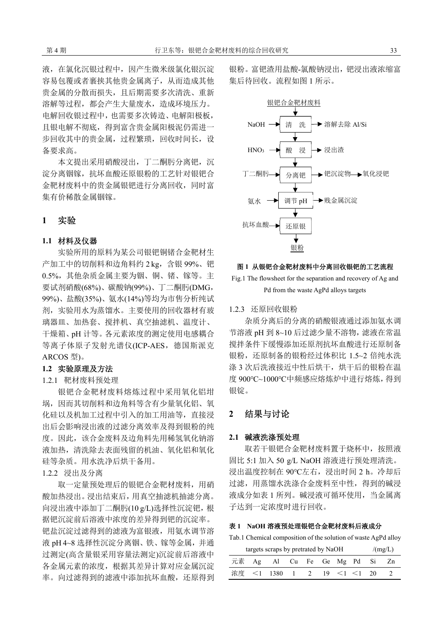液,在氯化沉银过程中,因产生微米级氯化银沉淀 容易包覆或者裹挟其他贵金属离子,从而造成其他 贵金属的分散而损失,且后期需要多次清洗、重新 溶解等过程,都会产生大量废水,造成环境压力。 电解回收银过程中,也需要多次铸造、电解阳极板, 且银电解不彻底,得到富含贵金属阳极泥仍需进一 步回收其中的贵金属,过程繁琐,回收时间长,设 备要求高。

本文提出采用硝酸浸出,丁二酮肟分离钯,沉 淀分离铟镓,抗坏血酸还原银粉的工艺针对银钯合 金靶材废料中的贵金属银钯进行分离回收,同时富 集有价稀散金属铟镓。

# **1** 实验

## **1.1** 材料及仪器

实验所用的原料为某公司银钯铜锗合金靶材生 产加工中的切削料和边角料约 2 kg, 含银 99%、钯 0.5%,其他杂质金属主要为铟、铜、锗、镓等。主 要试剂硝酸(68%)、碳酸钠(99%)、丁二酮肟(DMG, 99%)、盐酸(35%)、氨水(14%)等均为市售分析纯试 剂,实验用水为蒸馏水。主要使用的回收器材有玻 璃器皿、加热套、搅拌机、真空抽滤机、温度计、 干燥箱、pH 计等。各元素浓度的测定使用电感耦合 等离子体原子发射光谱仪(ICP-AES,德国斯派克 ARCOS 型)。

## **1.2** 实验原理及方法

## 1.2.1 靶材废料预处理

银钯合金靶材废料熔炼过程中采用氧化铝坩 埚,因而其切削料和边角料等含有少量氧化铝、氧 化硅以及机加工过程中引入的加工用油等,直接浸 出后会影响浸出液的过滤分离效率及得到银粉的纯 度。因此,该合金废料及边角料先用稀氢氧化钠溶 液加热,清洗除去表面残留的机油、氧化铝和氧化 硅等杂质。用水洗净后烘干备用。

## 1.2.2 浸出及分离

取一定量预处理后的银钯合金靶材废料,用硝 酸加热浸出。浸出结束后,用真空抽滤机抽滤分离。 向浸出液中添加丁二酮肟(10 g/L)选择性沉淀钯,根 据钯沉淀前后溶液中浓度的差异得到钯的沉淀率。 钯盐沉淀过滤得到的滤液为富银液,用氨水调节溶 液 pH 4~8 选择性沉淀分离铟、铁、镓等金属,并通 过测定(高含量银采用容量法测定)沉淀前后溶液中 各金属元素的浓度,根据其差异计算对应金属沉淀 率。向过滤得到的滤液中添加抗坏血酸,还原得到

银粉。富钯渣用盐酸-氯酸钠浸出,钯浸出液浓缩富 集后待回收。流程如图 1 所示。



## 图 **1** 从银钯合金靶材废料中分离回收银钯的工艺流程

Fig.1 The flowsheet for the separation and recovery of Ag and Pd from the waste AgPd alloys targets

#### 1.2.3 还原回收银粉

杂质分离后的分离的硝酸银液通过添加氨水调 节溶液 pH 到 8~10 后过滤少量不溶物,滤液在常温 搅拌条件下缓慢添加还原剂抗坏血酸进行还原制备 银粉,还原制备的银粉经过体积比 1.5~2 倍纯水洗 涤 3 次后洗液接近中性后烘干,烘干后的银粉在温 度 900℃~1000℃中频感应熔炼炉中进行熔炼,得到 银锭。

# **2** 结果与讨论

## **2.1** 碱液洗涤预处理

取若干银钯合金靶材废料置于烧杯中, 按照液 固比 5:1 加入 50 g/L NaOH 溶液进行预处理清洗。 浸出温度控制在 90℃左右,浸出时间 2 h。冷却后 过滤,用蒸馏水洗涤合金废料至中性,得到的碱浸 液成分如表 1 所列。碱浸液可循环使用,当金属离 子达到一定浓度时进行回收。

# 表 **1 NaOH** 溶液预处理银钯合金靶材废料后液成分

Tab.1 Chemical composition of the solution of waste AgPd alloy

| targets scraps by pretrated by NaOH | /(mg/L)                       |  |  |  |  |
|-------------------------------------|-------------------------------|--|--|--|--|
|                                     | 元素 Ag Al Cu Fe Ge Mg Pd Si Zn |  |  |  |  |
|                                     | 浓度 <1 1380 1 2 19 <1 <1 20    |  |  |  |  |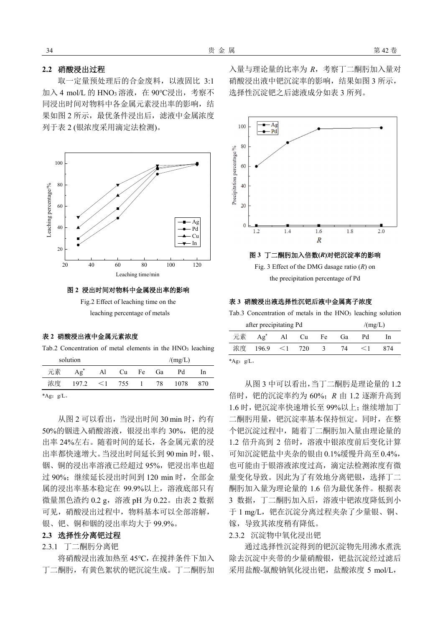# **2.2** 硝酸浸出过程

取一定量预处理后的合金废料,以液固比 3:1 加入 4 mol/L 的 HNO<sup>3</sup> 溶液,在 90℃浸出,考察不 同浸出时间对物料中各金属元素浸出率的影响,结 果如图 2 所示,最优条件浸出后,滤液中金属浓度 列于表 2 (银浓度采用滴定法检测)。



## 图 **2** 浸出时间对物料中金属浸出率的影响

Fig.2 Effect of leaching time on the leaching percentage of metals

#### 表 **2** 硝酸浸出液中金属元素浓度

Tab.2 Concentration of metal elements in the HNO<sub>3</sub> leaching

|                                         | solution |    |                |    |      | /(mg/L) |     |
|-----------------------------------------|----------|----|----------------|----|------|---------|-----|
| 元素                                      | $Ag^*$   | Al | Cu             | Fe | Ga   | Pd      | In. |
| 浓度                                      | 197.2    |    | $\leq 1$ 755 1 |    | - 78 | 1078    | 870 |
| $\star \Lambda$ $\sim$ $\sim$ $/\Gamma$ |          |    |                |    |      |         |     |

\*Ag:  $g/L$ 。

从图 2 可以看出, 当浸出时间 30 min 时, 约有 50%的铟讲入硝酸溶液,银浸出率约 30%, 钯的浸 出率 24%左右。随着时间的延长,各金属元素的浸 出率都快速增大。当浸出时间延长到 90 min 时,银、 铟、铜的浸出率溶液已经超过 95%,钯浸出率也超 过 90%; 继续延长浸出时间到 120 min 时, 全部金 属的浸出率基本稳定在 99.9%以上,溶液底部只有 微量黑色渣约 0.2 g,溶液 pH 为 0.22。由表 2 数据 可见,硝酸浸出过程中,物料基本可以全部溶解, 银、钯、铜和铟的浸出率均大于 99.9%。

#### **2.3** 选择性分离钯过程

# 2.3.1 丁二酮肟分离钯

将硝酸浸出液加热至 45℃,在搅拌条件下加入 丁二酮肟,有黄色絮状的钯沉淀生成。丁二酮肟加 入量与理论量的比率为 *R*,考察丁二酮肟加入量对 硝酸浸出液中钯沉淀率的影响,结果如图 3 所示, 选择性沉淀钯之后滤液成分如表 3 所列。



the precipitation percentage of Pd

#### 表 **3** 硝酸浸出液选择性沉钯后液中金属离子浓度

Tab.3 Concentration of metals in the HNO<sub>3</sub> leaching solution

|              | after precipitating Pd | /(mg/L) |               |    |     |     |  |
|--------------|------------------------|---------|---------------|----|-----|-----|--|
| 元素           | $Ag^*$                 | Al Cu   | Fe            | Gà | Рd  | In. |  |
| 浓度           | $196.9 \leq 1$ 720     |         | $\mathcal{R}$ | 74 | < Ι | 874 |  |
| *Ag: $g/L$ . |                        |         |               |    |     |     |  |

从图 3 中可以看出,当丁二酮肟是理论量的 1.2 倍时,钯的沉淀率约为 60%;*R* 由 1.2 逐渐升高到 1.6 时,钯沉淀率快速增长至 99%以上;继续增加丁 二酮肟用量, 钯沉淀率基本保持恒定。同时, 在整 个钯沉淀过程中,随着丁二酮肟加入量由理论量的 1.2 倍升高到 2 倍时,溶液中银浓度前后变化计算 可知沉淀钯盐中夹杂的银由 0.1%缓慢升高至0.4%, 也可能由于银溶液浓度过高,滴定法检测浓度有微 量变化导致。因此为了有效地分离钯银,选择丁二 酮肟加入量为理论量的 1.6 倍为最优条件。根据表 3 数据,丁二酮肟加入后,溶液中钯浓度降低到小 于 1 mg/L, 钯在沉淀分离过程夹杂了少量银、铜、 镓,导致其浓度稍有降低。

# 2.3.2 沉淀物中氧化浸出钯

通过选择性沉淀得到的钯沉淀物先用沸水煮洗 除去沉淀中夹带的少量硝酸银, 钯盐沉淀经过滤后 采用盐酸-氯酸钠氧化浸出钯,盐酸浓度 5 mol/L,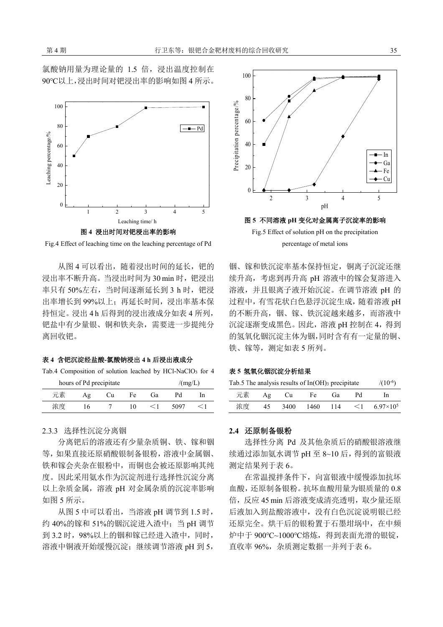

Fig.4 Effect of leaching time on the leaching percentage of Pd

从图 4 可以看出,随着浸出时间的延长, 钯的 浸出率不断升高。当浸出时间为 30 min 时, 钯浸出 率只有 50%左右, 当时间逐渐延长到 3 h 时, 钯浸 出率增长到 99%以上;再延长时间,浸出率基本保 持恒定。浸出 4 h 后得到的浸出液成分如表 4 所列, 钯盐中有少量银、铜和铁夹杂,需要进一步提纯分 离回收钯。

#### 表 **4** 含钯沉淀经盐酸**-**氯酸钠浸出 **4 h** 后浸出液成分

Tab.4 Composition of solution leached by HCl-NaClO<sub>3</sub> for 4

|    | hours of Pd precipitate |    | /(mg/L) |     |      |  |
|----|-------------------------|----|---------|-----|------|--|
| 元素 | Aφ                      | Сu | Fe i    | Gìa | Рd   |  |
| 浓度 | 16                      |    | ıΩ      |     | 5097 |  |

## 2.3.3 选择性沉淀分离铟

分离钯后的溶液还有少量杂质铜、铁、镓和铟 等,如果直接还原硝酸银制备银粉,溶液中金属铟、 铁和镓会夹杂在银粉中,而铜也会被还原影响其纯 度。因此采用氨水作为沉淀剂进行选择性沉淀分离 以上杂质金属,溶液 pH 对金属杂质的沉淀率影响 如图 5 所示。

从图 5 中可以看出,当溶液 pH 调节到 1.5 时, 约 40%的镓和 51%的铟沉淀进入渣中;当 pH 调节 到 3.2 时,98%以上的铟和镓已经进入渣中,同时, 溶液中铜液开始缓慢沉淀;继续调节溶液 pH 到 5,



铟、镓和铁沉淀率基本保持恒定,铜离子沉淀还继 续升高,考虑到再升高 pH 溶液中的镓会复溶进入 溶液,并且银离子液开始沉淀。在调节溶液 pH 的 过程中,有雪花状白色悬浮沉淀生成,随着溶液 pH 的不断升高,铟、镓、铁沉淀越来越多,而溶液中 沉淀逐渐变成黑色。因此,溶液 pH 控制在 4,得到 的氢氧化铟沉淀主体为铟,同时含有有一定量的铜、 铁、镓等,测定如表 5 所列。

## 表 **5** 氢氧化铟沉淀分析结果

| Tab.5 The analysis results of $In(OH)$ <sub>3</sub> precipitate | $/(10^{-6})$ |      |      |       |          |                    |
|-----------------------------------------------------------------|--------------|------|------|-------|----------|--------------------|
| 元素                                                              | Aφ           | - Cu | Fe   | Сìа.  | Рd       | In.                |
| 浓度                                                              | 45           | 3400 | 1460 | - 114 | $\leq$ 1 | $6.97\times10^{5}$ |

#### **2.4** 还原制备银粉

选择性分离 Pd 及其他杂质后的硝酸银溶液继 续通过添加氨水调节 pH 至 8~10 后,得到的富银液 测定结果列于表 6。

在常温搅拌条件下,向富银液中缓慢添加抗坏 血酸,还原制备银粉。抗坏血酸用量为银质量的 0.8 倍,反应 45 min 后溶液变成清亮透明,取少量还原 后液加入到盐酸溶液中,没有白色沉淀说明银已经 还原完全。烘干后的银粉置于石墨坩埚中,在中频 炉中于 900℃~1000℃熔炼,得到表面光滑的银锭, 直收率 96%,杂质测定数据一并列于表 6。